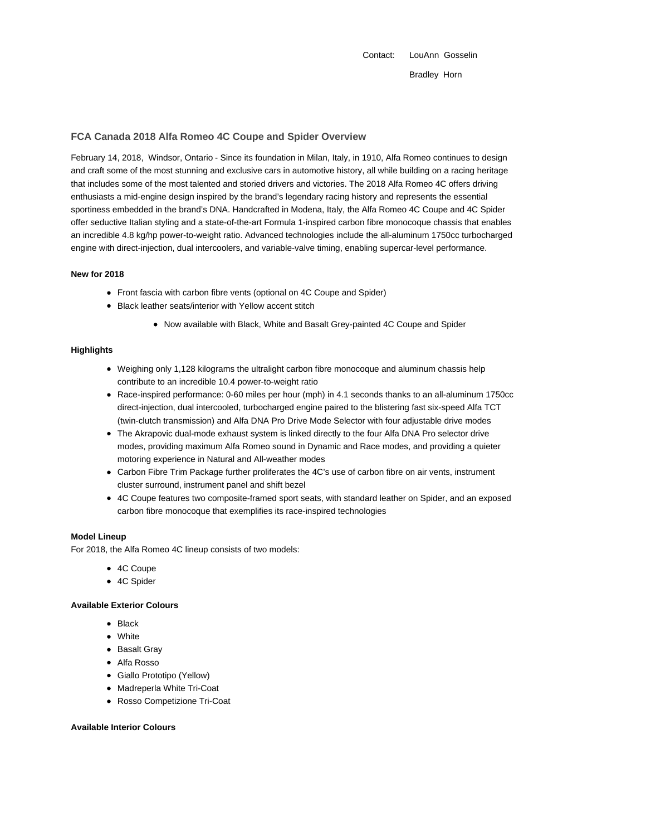Contact: LouAnn Gosselin Bradley Horn

# **FCA Canada 2018 Alfa Romeo 4C Coupe and Spider Overview**

February 14, 2018, Windsor, Ontario - Since its foundation in Milan, Italy, in 1910, Alfa Romeo continues to design and craft some of the most stunning and exclusive cars in automotive history, all while building on a racing heritage that includes some of the most talented and storied drivers and victories. The 2018 Alfa Romeo 4C offers driving enthusiasts a mid-engine design inspired by the brand's legendary racing history and represents the essential sportiness embedded in the brand's DNA. Handcrafted in Modena, Italy, the Alfa Romeo 4C Coupe and 4C Spider offer seductive Italian styling and a state-of-the-art Formula 1-inspired carbon fibre monocoque chassis that enables an incredible 4.8 kg/hp power-to-weight ratio. Advanced technologies include the all-aluminum 1750cc turbocharged engine with direct-injection, dual intercoolers, and variable-valve timing, enabling supercar-level performance.

### **New for 2018**

- Front fascia with carbon fibre vents (optional on 4C Coupe and Spider)
- Black leather seats/interior with Yellow accent stitch
	- Now available with Black, White and Basalt Grey-painted 4C Coupe and Spider

## **Highlights**

- Weighing only 1,128 kilograms the ultralight carbon fibre monocoque and aluminum chassis help contribute to an incredible 10.4 power-to-weight ratio
- Race-inspired performance: 0-60 miles per hour (mph) in 4.1 seconds thanks to an all-aluminum 1750cc direct-injection, dual intercooled, turbocharged engine paired to the blistering fast six-speed Alfa TCT (twin-clutch transmission) and Alfa DNA Pro Drive Mode Selector with four adjustable drive modes
- The Akrapovic dual-mode exhaust system is linked directly to the four Alfa DNA Pro selector drive modes, providing maximum Alfa Romeo sound in Dynamic and Race modes, and providing a quieter motoring experience in Natural and All-weather modes
- Carbon Fibre Trim Package further proliferates the 4C's use of carbon fibre on air vents, instrument cluster surround, instrument panel and shift bezel
- 4C Coupe features two composite-framed sport seats, with standard leather on Spider, and an exposed carbon fibre monocoque that exemplifies its race-inspired technologies

### **Model Lineup**

For 2018, the Alfa Romeo 4C lineup consists of two models:

- 4C Coupe
- 4C Spider

### **Available Exterior Colours**

- Black
- White
- Basalt Gray
- Alfa Rosso
- Giallo Prototipo (Yellow)
- Madreperla White Tri-Coat
- Rosso Competizione Tri-Coat

#### **Available Interior Colours**